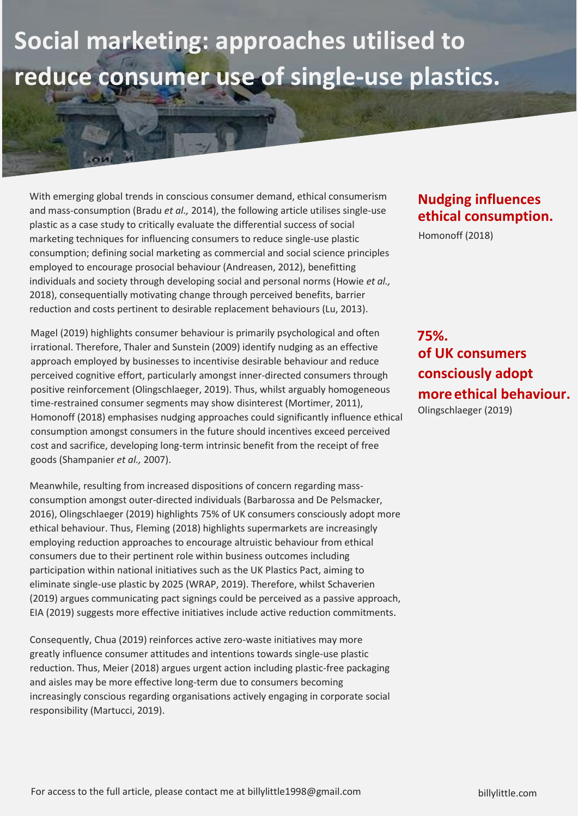## **Social marketing: approaches utilised to reduce consumer use of single-use plastics.**

With emerging global trends in conscious consumer demand, ethical consumerism and mass-consumption (Bradu *et al.,* 2014), the following article utilises single-use plastic as a case study to critically evaluate the differential success of social marketing techniques for influencing consumers to reduce single-use plastic consumption; defining social marketing as commercial and social science principles employed to encourage prosocial behaviour (Andreasen, 2012), benefitting individuals and society through developing social and personal norms (Howie *et al.,* 2018), consequentially motivating change through perceived benefits, barrier reduction and costs pertinent to desirable replacement behaviours (Lu, 2013).

Magel (2019) highlights consumer behaviour is primarily psychological and often irrational. Therefore, Thaler and Sunstein (2009) identify nudging as an effective approach employed by businesses to incentivise desirable behaviour and reduce perceived cognitive effort, particularly amongst inner-directed consumers through positive reinforcement (Olingschlaeger, 2019). Thus, whilst arguably homogeneous time-restrained consumer segments may show disinterest (Mortimer, 2011), Homonoff (2018) emphasises nudging approaches could significantly influence ethical consumption amongst consumers in the future should incentives exceed perceived cost and sacrifice, developing long-term intrinsic benefit from the receipt of free goods (Shampanier *et al.,* 2007).

Meanwhile, resulting from increased dispositions of concern regarding massconsumption amongst outer-directed individuals (Barbarossa and De Pelsmacker, 2016), Olingschlaeger (2019) highlights 75% of UK consumers consciously adopt more ethical behaviour. Thus, Fleming (2018) highlights supermarkets are increasingly employing reduction approaches to encourage altruistic behaviour from ethical consumers due to their pertinent role within business outcomes including participation within national initiatives such as the UK Plastics Pact, aiming to eliminate single-use plastic by 2025 (WRAP, 2019). Therefore, whilst Schaverien (2019) argues communicating pact signings could be perceived as a passive approach, EIA (2019) suggests more effective initiatives include active reduction commitments.

Consequently, Chua (2019) reinforces active zero-waste initiatives may more greatly influence consumer attitudes and intentions towards single-use plastic reduction. Thus, Meier (2018) argues urgent action including plastic-free packaging and aisles may be more effective long-term due to consumers becoming increasingly conscious regarding organisations actively engaging in corporate social responsibility (Martucci, 2019).

## **Nudging influences ethical consumption.**

Homonoff (2018)

**of UK consumers consciously adopt moreethical behaviour.** Olingschlaeger (2019) **75%.**